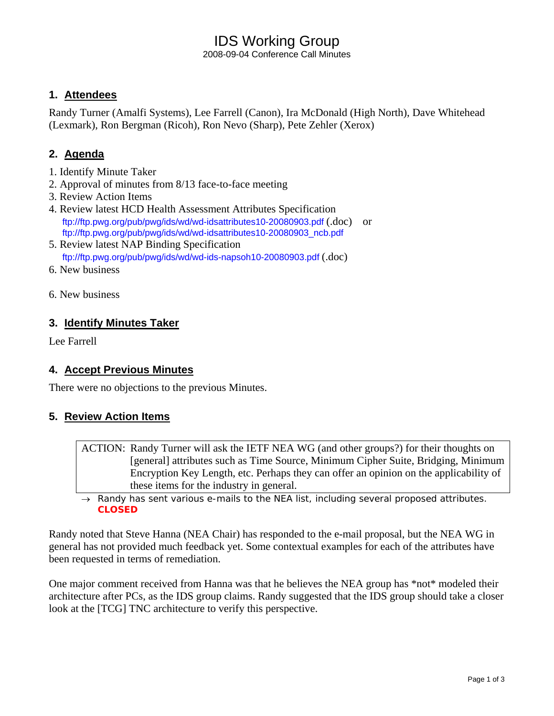## IDS Working Group

2008-09-04 Conference Call Minutes

### **1. Attendees**

Randy Turner (Amalfi Systems), Lee Farrell (Canon), Ira McDonald (High North), Dave Whitehead (Lexmark), Ron Bergman (Ricoh), Ron Nevo (Sharp), Pete Zehler (Xerox)

## **2. Agenda**

- 1. Identify Minute Taker
- 2. Approval of minutes from 8/13 face-to-face meeting
- 3. Review Action Items
- 4. Review latest HCD Health Assessment Attributes Specification ftp://ftp.pwg.org/pub/pwg/ids/wd/wd-idsattributes10-20080903.pdf (.doc) or ftp://ftp.pwg.org/pub/pwg/ids/wd/wd-idsattributes10-20080903\_ncb.pdf
- 5. Review latest NAP Binding Specification ftp://ftp.pwg.org/pub/pwg/ids/wd/wd-ids-napsoh10-20080903.pdf (.doc)
- 6. New business
- 6. New business

## **3. Identify Minutes Taker**

Lee Farrell

### **4. Accept Previous Minutes**

There were no objections to the previous Minutes.

### **5. Review Action Items**

ACTION: Randy Turner will ask the IETF NEA WG (and other groups?) for their thoughts on [general] attributes such as Time Source, Minimum Cipher Suite, Bridging, Minimum Encryption Key Length, etc. Perhaps they can offer an opinion on the applicability of these items for the industry in general.

→ *Randy has sent various e-mails to the NEA list, including several proposed attributes. CLOSED*

Randy noted that Steve Hanna (NEA Chair) has responded to the e-mail proposal, but the NEA WG in general has not provided much feedback yet. Some contextual examples for each of the attributes have been requested in terms of remediation.

One major comment received from Hanna was that he believes the NEA group has \*not\* modeled their architecture after PCs, as the IDS group claims. Randy suggested that the IDS group should take a closer look at the [TCG] TNC architecture to verify this perspective.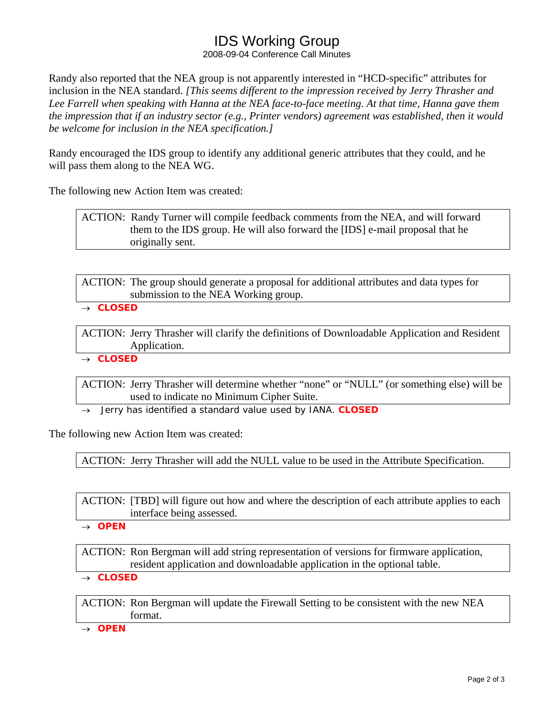# IDS Working Group

2008-09-04 Conference Call Minutes

Randy also reported that the NEA group is not apparently interested in "HCD-specific" attributes for inclusion in the NEA standard. *[This seems different to the impression received by Jerry Thrasher and Lee Farrell when speaking with Hanna at the NEA face-to-face meeting. At that time, Hanna gave them the impression that if an industry sector (e.g., Printer vendors) agreement was established, then it would be welcome for inclusion in the NEA specification.]*

Randy encouraged the IDS group to identify any additional generic attributes that they could, and he will pass them along to the NEA WG.

The following new Action Item was created:

ACTION: Randy Turner will compile feedback comments from the NEA, and will forward them to the IDS group. He will also forward the [IDS] e-mail proposal that he originally sent.

ACTION: The group should generate a proposal for additional attributes and data types for submission to the NEA Working group.

→ *CLOSED* 

ACTION: Jerry Thrasher will clarify the definitions of Downloadable Application and Resident Application.

→ *CLOSED*

ACTION: Jerry Thrasher will determine whether "none" or "NULL" (or something else) will be used to indicate no Minimum Cipher Suite.

→ *Jerry has identified a standard value used by IANA. CLOSED*

The following new Action Item was created:

ACTION: Jerry Thrasher will add the NULL value to be used in the Attribute Specification.

ACTION: [TBD] will figure out how and where the description of each attribute applies to each interface being assessed.

→ *OPEN*

ACTION: Ron Bergman will add string representation of versions for firmware application, resident application and downloadable application in the optional table.

→ *CLOSED*

ACTION: Ron Bergman will update the Firewall Setting to be consistent with the new NEA format.

→ *OPEN*